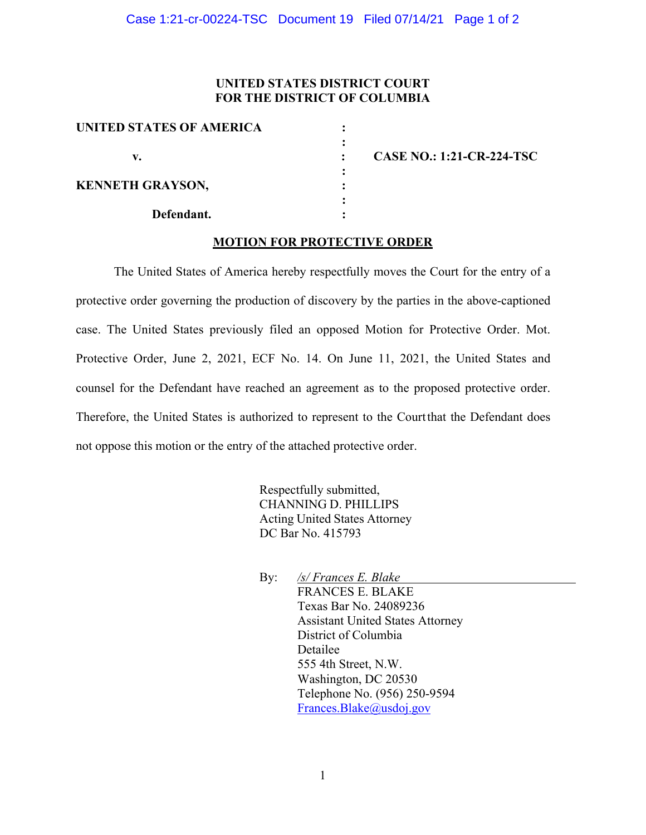## **UNITED STATES DISTRICT COURT FOR THE DISTRICT OF COLUMBIA**

| <b>UNITED STATES OF AMERICA</b> |  |
|---------------------------------|--|
| v.                              |  |
|                                 |  |
| <b>KENNETH GRAYSON,</b>         |  |
| Defendant.                      |  |

**v. : CASE NO.: 1:21-CR-224-TSC**

#### **MOTION FOR PROTECTIVE ORDER**

The United States of America hereby respectfully moves the Court for the entry of a protective order governing the production of discovery by the parties in the above-captioned case. The United States previously filed an opposed Motion for Protective Order. Mot. Protective Order, June 2, 2021, ECF No. 14. On June 11, 2021, the United States and counsel for the Defendant have reached an agreement as to the proposed protective order. Therefore, the United States is authorized to represent to the Court that the Defendant does not oppose this motion or the entry of the attached protective order.

> Respectfully submitted, CHANNING D. PHILLIPS Acting United States Attorney DC Bar No. 415793

By: */s/ Frances E. Blake* FRANCES E. BLAKE Texas Bar No. 24089236 Assistant United States Attorney District of Columbia Detailee 555 4th Street, N.W. Washington, DC 20530 Telephone No. (956) 250-9594 Frances.Blake@usdoj.gov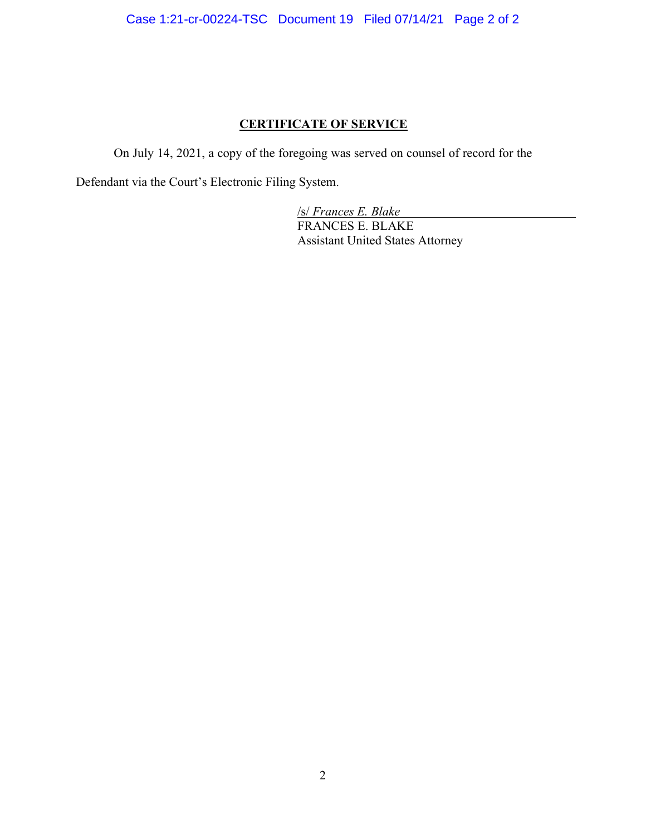# **CERTIFICATE OF SERVICE**

On July 14, 2021, a copy of the foregoing was served on counsel of record for the

Defendant via the Court's Electronic Filing System.

/s/ *Frances E. Blake* FRANCES E. BLAKE Assistant United States Attorney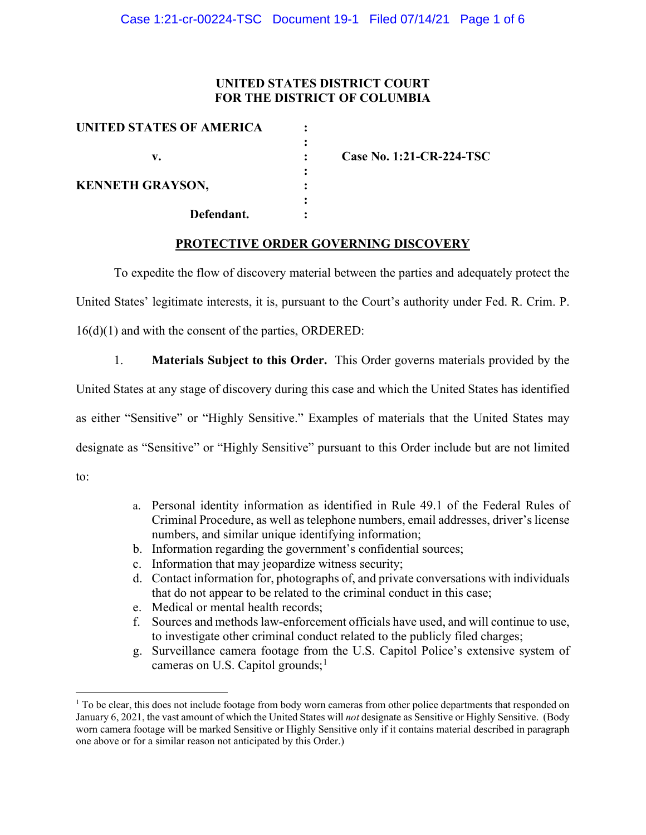## **UNITED STATES DISTRICT COURT FOR THE DISTRICT OF COLUMBIA**

| UNITED STATES OF AMERICA |                          |
|--------------------------|--------------------------|
| v.                       | Case No. 1:21-CR-224-TSC |
| <b>KENNETH GRAYSON,</b>  |                          |
| Defendant.               |                          |

#### **PROTECTIVE ORDER GOVERNING DISCOVERY**

To expedite the flow of discovery material between the parties and adequately protect the United States' legitimate interests, it is, pursuant to the Court's authority under Fed. R. Crim. P. 16(d)(1) and with the consent of the parties, ORDERED:

1. **Materials Subject to this Order.** This Order governs materials provided by the United States at any stage of discovery during this case and which the United States has identified as either "Sensitive" or "Highly Sensitive." Examples of materials that the United States may designate as "Sensitive" or "Highly Sensitive" pursuant to this Order include but are not limited to:

- a. Personal identity information as identified in Rule 49.1 of the Federal Rules of Criminal Procedure, as well as telephone numbers, email addresses, driver's license numbers, and similar unique identifying information;
- b. Information regarding the government's confidential sources;
- c. Information that may jeopardize witness security;
- d. Contact information for, photographs of, and private conversations with individuals that do not appear to be related to the criminal conduct in this case;
- e. Medical or mental health records;
- f. Sources and methods law-enforcement officials have used, and will continue to use, to investigate other criminal conduct related to the publicly filed charges;
- g. Surveillance camera footage from the U.S. Capitol Police's extensive system of cameras on U.S. Capitol grounds;<sup>1</sup>

 $<sup>1</sup>$  To be clear, this does not include footage from body worn cameras from other police departments that responded on</sup> January 6, 2021, the vast amount of which the United States will *not* designate as Sensitive or Highly Sensitive. (Body worn camera footage will be marked Sensitive or Highly Sensitive only if it contains material described in paragraph one above or for a similar reason not anticipated by this Order.)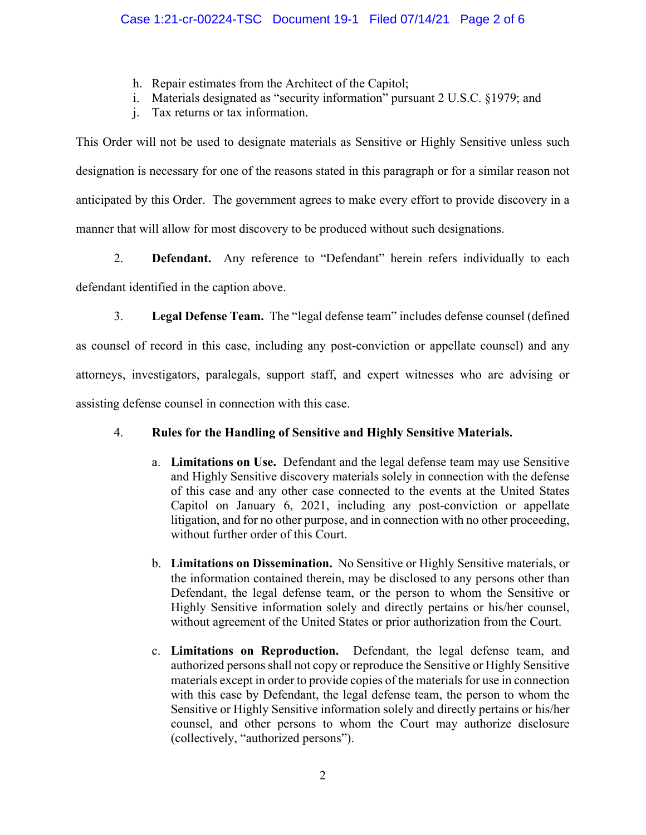- h. Repair estimates from the Architect of the Capitol;
- i. Materials designated as "security information" pursuant 2 U.S.C. §1979; and
- j. Tax returns or tax information.

This Order will not be used to designate materials as Sensitive or Highly Sensitive unless such designation is necessary for one of the reasons stated in this paragraph or for a similar reason not anticipated by this Order. The government agrees to make every effort to provide discovery in a manner that will allow for most discovery to be produced without such designations.

2. **Defendant.** Any reference to "Defendant" herein refers individually to each defendant identified in the caption above.

3. **Legal Defense Team.** The "legal defense team" includes defense counsel (defined as counsel of record in this case, including any post-conviction or appellate counsel) and any attorneys, investigators, paralegals, support staff, and expert witnesses who are advising or assisting defense counsel in connection with this case.

# 4. **Rules for the Handling of Sensitive and Highly Sensitive Materials.**

- a. **Limitations on Use.** Defendant and the legal defense team may use Sensitive and Highly Sensitive discovery materials solely in connection with the defense of this case and any other case connected to the events at the United States Capitol on January 6, 2021, including any post-conviction or appellate litigation, and for no other purpose, and in connection with no other proceeding, without further order of this Court.
- b. **Limitations on Dissemination.** No Sensitive or Highly Sensitive materials, or the information contained therein, may be disclosed to any persons other than Defendant, the legal defense team, or the person to whom the Sensitive or Highly Sensitive information solely and directly pertains or his/her counsel, without agreement of the United States or prior authorization from the Court.
- c. **Limitations on Reproduction.** Defendant, the legal defense team, and authorized persons shall not copy or reproduce the Sensitive or Highly Sensitive materials except in order to provide copies of the materials for use in connection with this case by Defendant, the legal defense team, the person to whom the Sensitive or Highly Sensitive information solely and directly pertains or his/her counsel, and other persons to whom the Court may authorize disclosure (collectively, "authorized persons").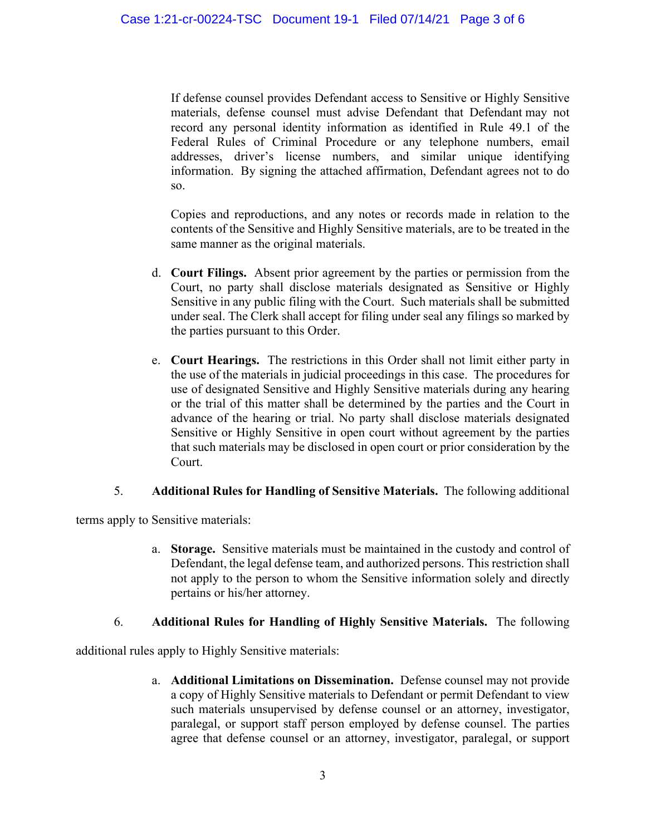If defense counsel provides Defendant access to Sensitive or Highly Sensitive materials, defense counsel must advise Defendant that Defendant may not record any personal identity information as identified in Rule 49.1 of the Federal Rules of Criminal Procedure or any telephone numbers, email addresses, driver's license numbers, and similar unique identifying information. By signing the attached affirmation, Defendant agrees not to do so.

Copies and reproductions, and any notes or records made in relation to the contents of the Sensitive and Highly Sensitive materials, are to be treated in the same manner as the original materials.

- d. **Court Filings.** Absent prior agreement by the parties or permission from the Court, no party shall disclose materials designated as Sensitive or Highly Sensitive in any public filing with the Court. Such materials shall be submitted under seal. The Clerk shall accept for filing under seal any filings so marked by the parties pursuant to this Order.
- e. **Court Hearings.** The restrictions in this Order shall not limit either party in the use of the materials in judicial proceedings in this case. The procedures for use of designated Sensitive and Highly Sensitive materials during any hearing or the trial of this matter shall be determined by the parties and the Court in advance of the hearing or trial. No party shall disclose materials designated Sensitive or Highly Sensitive in open court without agreement by the parties that such materials may be disclosed in open court or prior consideration by the Court.

#### 5. **Additional Rules for Handling of Sensitive Materials.** The following additional

terms apply to Sensitive materials:

a. **Storage.** Sensitive materials must be maintained in the custody and control of Defendant, the legal defense team, and authorized persons. This restriction shall not apply to the person to whom the Sensitive information solely and directly pertains or his/her attorney.

## 6. **Additional Rules for Handling of Highly Sensitive Materials.** The following

additional rules apply to Highly Sensitive materials:

a. **Additional Limitations on Dissemination.** Defense counsel may not provide a copy of Highly Sensitive materials to Defendant or permit Defendant to view such materials unsupervised by defense counsel or an attorney, investigator, paralegal, or support staff person employed by defense counsel. The parties agree that defense counsel or an attorney, investigator, paralegal, or support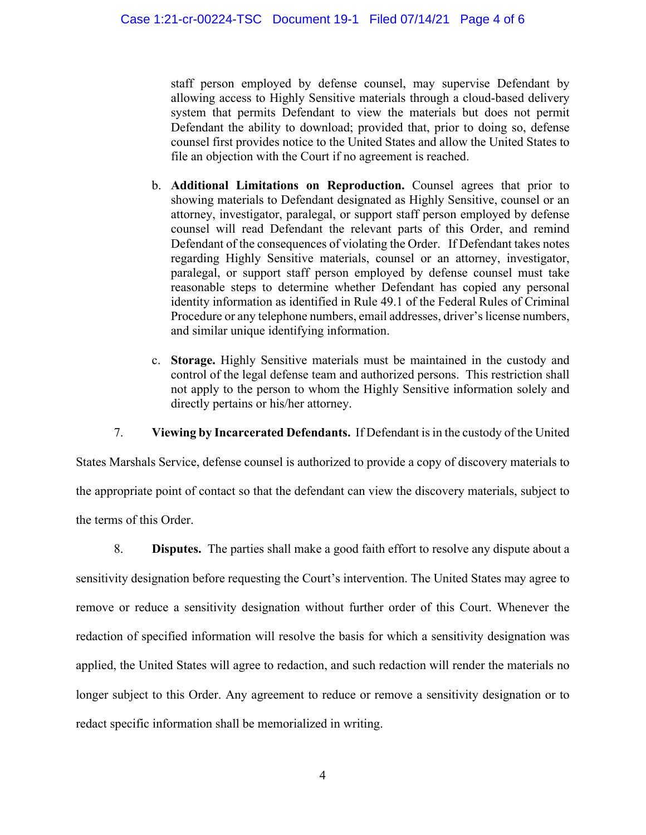staff person employed by defense counsel, may supervise Defendant by allowing access to Highly Sensitive materials through a cloud-based delivery system that permits Defendant to view the materials but does not permit Defendant the ability to download; provided that, prior to doing so, defense counsel first provides notice to the United States and allow the United States to file an objection with the Court if no agreement is reached.

- b. **Additional Limitations on Reproduction.** Counsel agrees that prior to showing materials to Defendant designated as Highly Sensitive, counsel or an attorney, investigator, paralegal, or support staff person employed by defense counsel will read Defendant the relevant parts of this Order, and remind Defendant of the consequences of violating the Order. If Defendant takes notes regarding Highly Sensitive materials, counsel or an attorney, investigator, paralegal, or support staff person employed by defense counsel must take reasonable steps to determine whether Defendant has copied any personal identity information as identified in Rule 49.1 of the Federal Rules of Criminal Procedure or any telephone numbers, email addresses, driver's license numbers, and similar unique identifying information.
- c. **Storage.** Highly Sensitive materials must be maintained in the custody and control of the legal defense team and authorized persons. This restriction shall not apply to the person to whom the Highly Sensitive information solely and directly pertains or his/her attorney.

7. **Viewing by Incarcerated Defendants.** If Defendant is in the custody of the United

States Marshals Service, defense counsel is authorized to provide a copy of discovery materials to the appropriate point of contact so that the defendant can view the discovery materials, subject to the terms of this Order.

8. **Disputes.** The parties shall make a good faith effort to resolve any dispute about a sensitivity designation before requesting the Court's intervention. The United States may agree to remove or reduce a sensitivity designation without further order of this Court. Whenever the redaction of specified information will resolve the basis for which a sensitivity designation was applied, the United States will agree to redaction, and such redaction will render the materials no longer subject to this Order. Any agreement to reduce or remove a sensitivity designation or to redact specific information shall be memorialized in writing.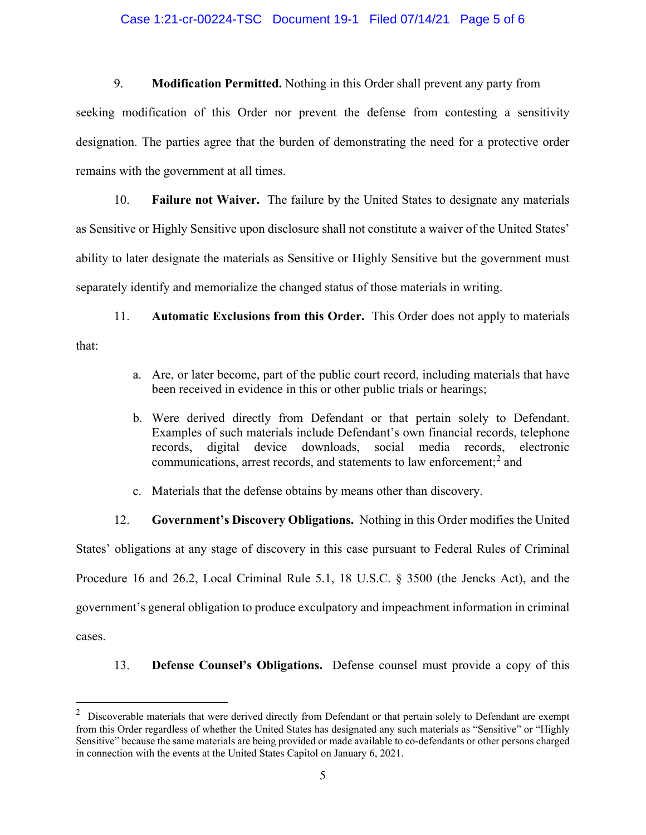#### Case 1:21-cr-00224-TSC Document 19-1 Filed 07/14/21 Page 5 of 6

9. **Modification Permitted.** Nothing in this Order shall prevent any party from

seeking modification of this Order nor prevent the defense from contesting a sensitivity designation. The parties agree that the burden of demonstrating the need for a protective order remains with the government at all times.

10. **Failure not Waiver.** The failure by the United States to designate any materials as Sensitive or Highly Sensitive upon disclosure shall not constitute a waiver of the United States' ability to later designate the materials as Sensitive or Highly Sensitive but the government must separately identify and memorialize the changed status of those materials in writing.

11. **Automatic Exclusions from this Order.** This Order does not apply to materials that:

- a. Are, or later become, part of the public court record, including materials that have been received in evidence in this or other public trials or hearings;
- b. Were derived directly from Defendant or that pertain solely to Defendant. Examples of such materials include Defendant's own financial records, telephone records, digital device downloads, social media records, electronic communications, arrest records, and statements to law enforcement; <sup>2</sup> and
- c. Materials that the defense obtains by means other than discovery.

12. **Government's Discovery Obligations.** Nothing in this Order modifies the United

States' obligations at any stage of discovery in this case pursuant to Federal Rules of Criminal Procedure 16 and 26.2, Local Criminal Rule 5.1, 18 U.S.C. § 3500 (the Jencks Act), and the government's general obligation to produce exculpatory and impeachment information in criminal cases.

13. **Defense Counsel's Obligations.** Defense counsel must provide a copy of this

 $2$  Discoverable materials that were derived directly from Defendant or that pertain solely to Defendant are exempt from this Order regardless of whether the United States has designated any such materials as "Sensitive" or "Highly Sensitive" because the same materials are being provided or made available to co-defendants or other persons charged in connection with the events at the United States Capitol on January 6, 2021.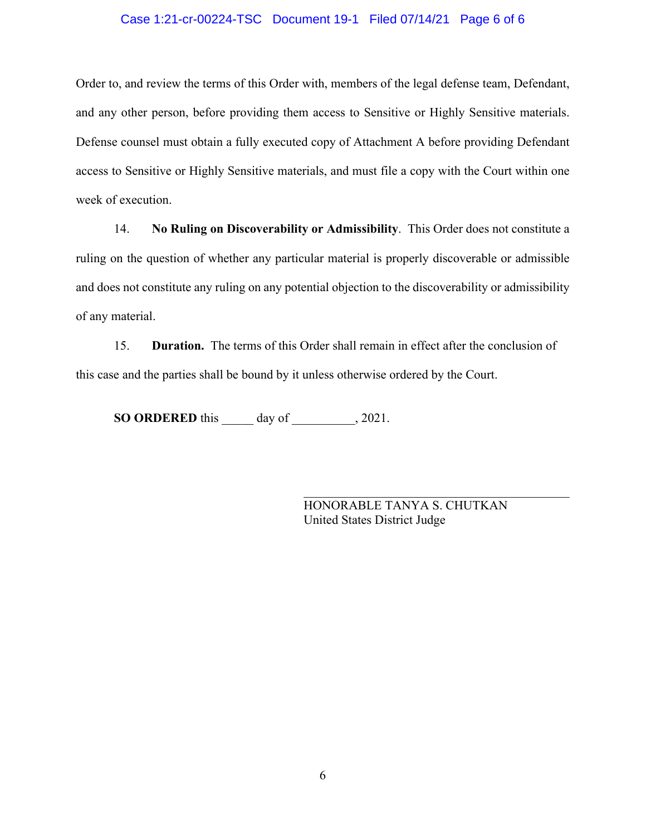## Case 1:21-cr-00224-TSC Document 19-1 Filed 07/14/21 Page 6 of 6

Order to, and review the terms of this Order with, members of the legal defense team, Defendant, and any other person, before providing them access to Sensitive or Highly Sensitive materials. Defense counsel must obtain a fully executed copy of Attachment A before providing Defendant access to Sensitive or Highly Sensitive materials, and must file a copy with the Court within one week of execution.

14. **No Ruling on Discoverability or Admissibility**. This Order does not constitute a ruling on the question of whether any particular material is properly discoverable or admissible and does not constitute any ruling on any potential objection to the discoverability or admissibility of any material.

15. **Duration.** The terms of this Order shall remain in effect after the conclusion of this case and the parties shall be bound by it unless otherwise ordered by the Court.

**SO ORDERED** this day of , 2021.

HONORABLE TANYA S. CHUTKAN United States District Judge

 $\mathcal{L}_\mathcal{L}$  , which is a set of the set of the set of the set of the set of the set of the set of the set of the set of the set of the set of the set of the set of the set of the set of the set of the set of the set of